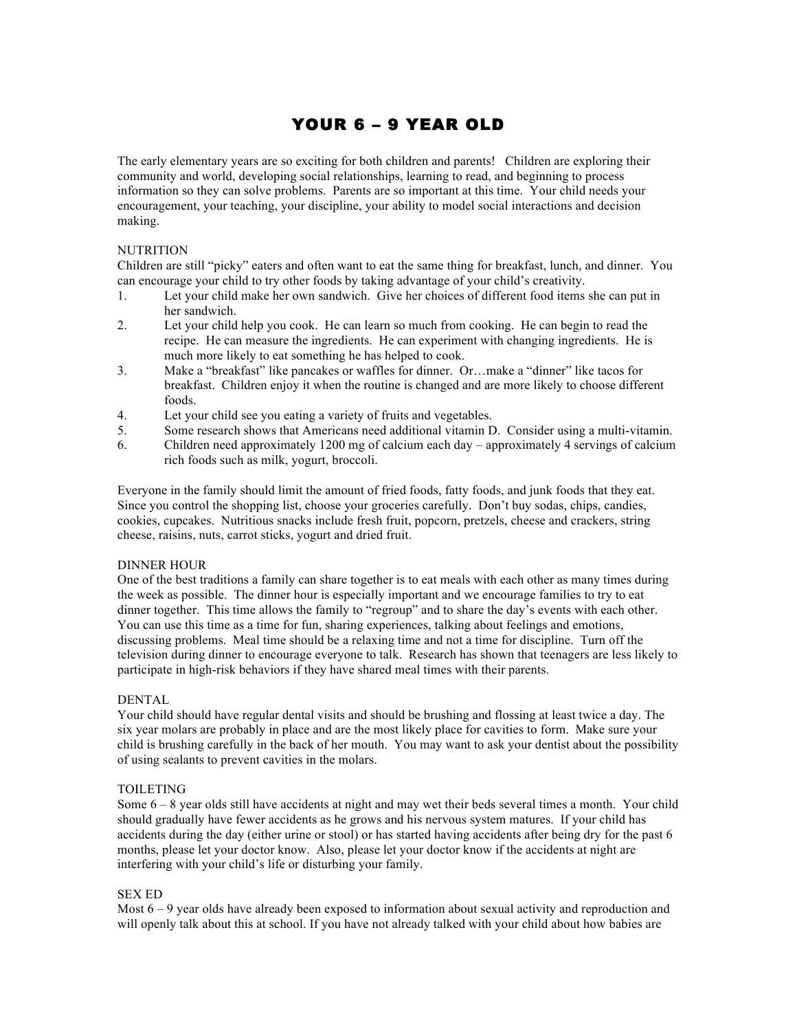# YOUR 6 – 9 YEAR OLD

The early elementary years are so exciting for both children and parents! Children are exploring their community and world, developing social relationships, learning to read, and beginning to process information so they can solve problems. Parents are so important at this time. Your child needs your encouragement, your teaching, your discipline, your ability to model social interactions and decision making.

## **NUTRITION**

Children are still "picky" eaters and often want to eat the same thing for breakfast, lunch, and dinner. You can encourage your child to try other foods by taking advantage of your child's creativity.

- 1. Let your child make her own sandwich. Give her choices of different food items she can put in her sandwich.
- 2. Let your child help you cook. He can learn so much from cooking. He can begin to read the recipe. He can measure the ingredients. He can experiment with changing ingredients. He is much more likely to eat something he has helped to cook.
- 3. Make a "breakfast" like pancakes or waffles for dinner. Or…make a "dinner" like tacos for breakfast. Children enjoy it when the routine is changed and are more likely to choose different foods.
- 4. Let your child see you eating a variety of fruits and vegetables.
- 5. Some research shows that Americans need additional vitamin D. Consider using a multi-vitamin.
- 6. Children need approximately 1200 mg of calcium each day approximately 4 servings of calcium rich foods such as milk, yogurt, broccoli.

Everyone in the family should limit the amount of fried foods, fatty foods, and junk foods that they eat. Since you control the shopping list, choose your groceries carefully. Don't buy sodas, chips, candies, cookies, cupcakes. Nutritious snacks include fresh fruit, popcorn, pretzels, cheese and crackers, string cheese, raisins, nuts, carrot sticks, yogurt and dried fruit.

## DINNER HOUR

One of the best traditions a family can share together is to eat meals with each other as many times during the week as possible. The dinner hour is especially important and we encourage families to try to eat dinner together. This time allows the family to "regroup" and to share the day's events with each other. You can use this time as a time for fun, sharing experiences, talking about feelings and emotions, discussing problems. Meal time should be a relaxing time and not a time for discipline. Turn off the television during dinner to encourage everyone to talk. Research has shown that teenagers are less likely to participate in high-risk behaviors if they have shared meal times with their parents.

## DENTAL

Your child should have regular dental visits and should be brushing and flossing at least twice a day. The six year molars are probably in place and are the most likely place for cavities to form. Make sure your child is brushing carefully in the back of her mouth. You may want to ask your dentist about the possibility of using sealants to prevent cavities in the molars.

## TOILETING

Some 6 – 8 year olds still have accidents at night and may wet their beds several times a month. Your child should gradually have fewer accidents as he grows and his nervous system matures. If your child has accidents during the day (either urine or stool) or has started having accidents after being dry for the past 6 months, please let your doctor know. Also, please let your doctor know if the accidents at night are interfering with your child's life or disturbing your family.

## SEX ED

Most  $6 - 9$  year olds have already been exposed to information about sexual activity and reproduction and will openly talk about this at school. If you have not already talked with your child about how babies are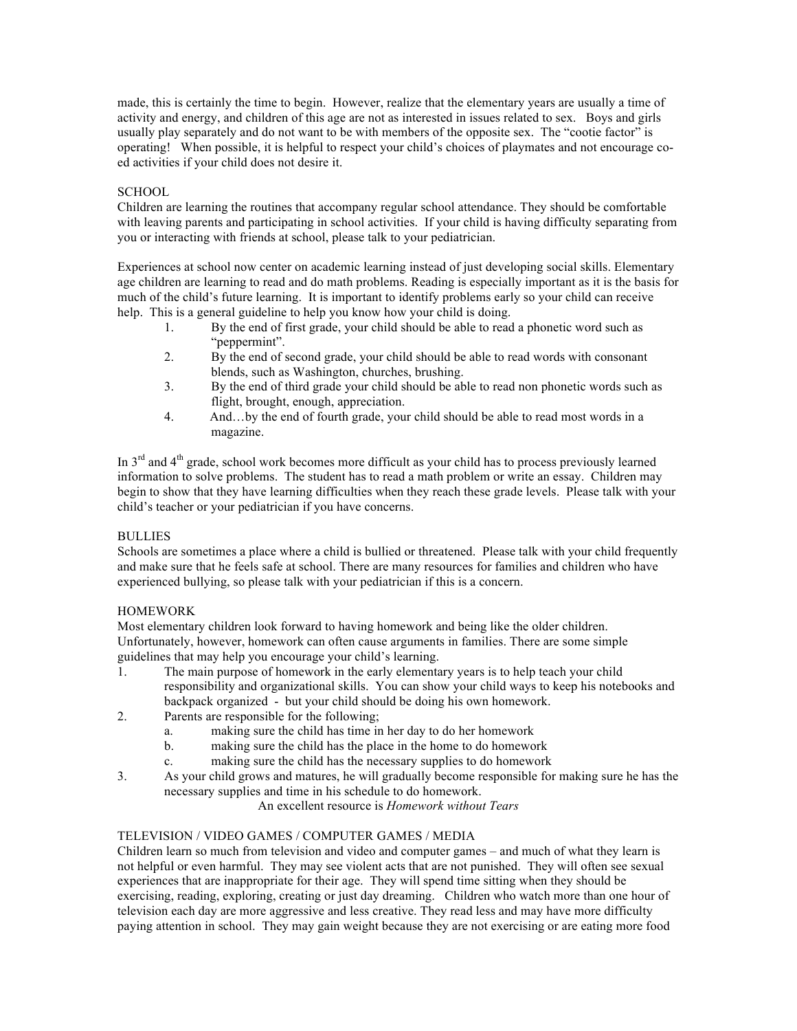made, this is certainly the time to begin. However, realize that the elementary years are usually a time of activity and energy, and children of this age are not as interested in issues related to sex. Boys and girls usually play separately and do not want to be with members of the opposite sex. The "cootie factor" is operating! When possible, it is helpful to respect your child's choices of playmates and not encourage coed activities if your child does not desire it.

## **SCHOOL**

Children are learning the routines that accompany regular school attendance. They should be comfortable with leaving parents and participating in school activities. If your child is having difficulty separating from you or interacting with friends at school, please talk to your pediatrician.

Experiences at school now center on academic learning instead of just developing social skills. Elementary age children are learning to read and do math problems. Reading is especially important as it is the basis for much of the child's future learning. It is important to identify problems early so your child can receive help. This is a general guideline to help you know how your child is doing.

- 1. By the end of first grade, your child should be able to read a phonetic word such as "peppermint".
- 2. By the end of second grade, your child should be able to read words with consonant blends, such as Washington, churches, brushing.
- 3. By the end of third grade your child should be able to read non phonetic words such as flight, brought, enough, appreciation.
- 4. And…by the end of fourth grade, your child should be able to read most words in a magazine.

In  $3<sup>rd</sup>$  and  $4<sup>th</sup>$  grade, school work becomes more difficult as your child has to process previously learned information to solve problems. The student has to read a math problem or write an essay. Children may begin to show that they have learning difficulties when they reach these grade levels. Please talk with your child's teacher or your pediatrician if you have concerns.

## BULLIES

Schools are sometimes a place where a child is bullied or threatened. Please talk with your child frequently and make sure that he feels safe at school. There are many resources for families and children who have experienced bullying, so please talk with your pediatrician if this is a concern.

# HOMEWORK

Most elementary children look forward to having homework and being like the older children. Unfortunately, however, homework can often cause arguments in families. There are some simple guidelines that may help you encourage your child's learning.

- 1. The main purpose of homework in the early elementary years is to help teach your child responsibility and organizational skills. You can show your child ways to keep his notebooks and backpack organized - but your child should be doing his own homework.
- 2. Parents are responsible for the following;
	- a. making sure the child has time in her day to do her homework
	- b. making sure the child has the place in the home to do homework
	- c. making sure the child has the necessary supplies to do homework
- 3. As your child grows and matures, he will gradually become responsible for making sure he has the necessary supplies and time in his schedule to do homework.

An excellent resource is *Homework without Tears*

# TELEVISION / VIDEO GAMES / COMPUTER GAMES / MEDIA

Children learn so much from television and video and computer games – and much of what they learn is not helpful or even harmful. They may see violent acts that are not punished. They will often see sexual experiences that are inappropriate for their age. They will spend time sitting when they should be exercising, reading, exploring, creating or just day dreaming. Children who watch more than one hour of television each day are more aggressive and less creative. They read less and may have more difficulty paying attention in school. They may gain weight because they are not exercising or are eating more food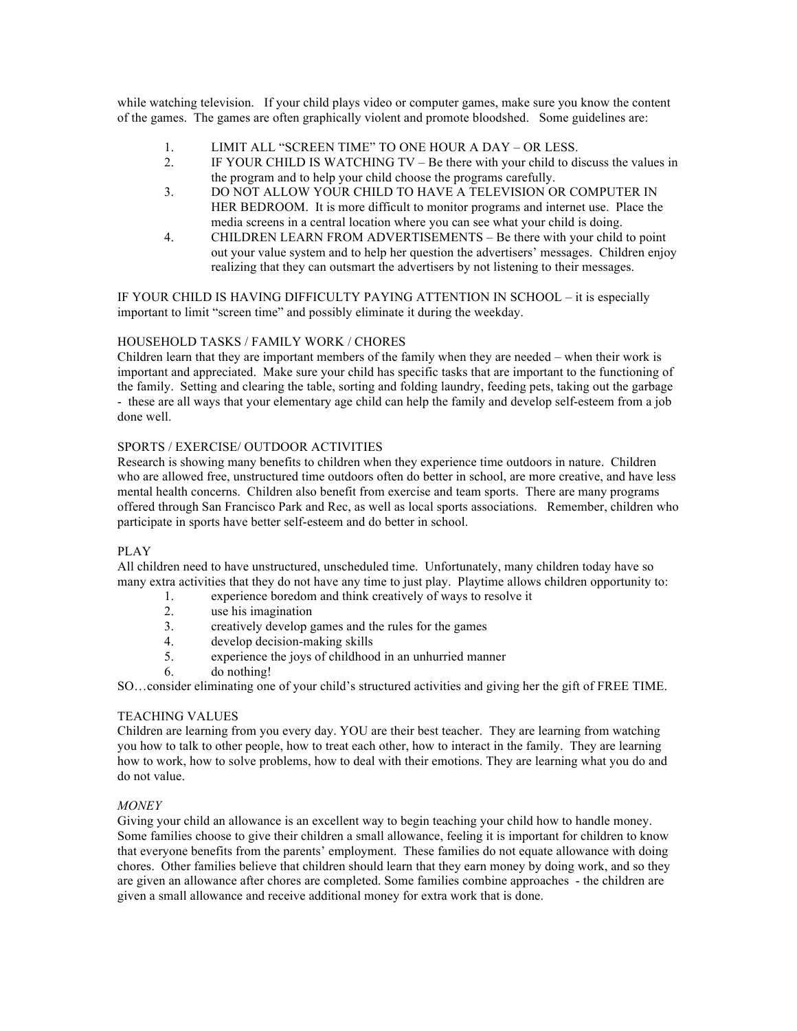while watching television. If your child plays video or computer games, make sure you know the content of the games. The games are often graphically violent and promote bloodshed. Some guidelines are:

- 1. LIMIT ALL "SCREEN TIME" TO ONE HOUR A DAY OR LESS.
- 2. IF YOUR CHILD IS WATCHING TV Be there with your child to discuss the values in the program and to help your child choose the programs carefully.
- 3. DO NOT ALLOW YOUR CHILD TO HAVE A TELEVISION OR COMPUTER IN HER BEDROOM. It is more difficult to monitor programs and internet use. Place the media screens in a central location where you can see what your child is doing.
- 4. CHILDREN LEARN FROM ADVERTISEMENTS Be there with your child to point out your value system and to help her question the advertisers' messages. Children enjoy realizing that they can outsmart the advertisers by not listening to their messages.

IF YOUR CHILD IS HAVING DIFFICULTY PAYING ATTENTION IN SCHOOL – it is especially important to limit "screen time" and possibly eliminate it during the weekday.

## HOUSEHOLD TASKS / FAMILY WORK / CHORES

Children learn that they are important members of the family when they are needed – when their work is important and appreciated. Make sure your child has specific tasks that are important to the functioning of the family. Setting and clearing the table, sorting and folding laundry, feeding pets, taking out the garbage - these are all ways that your elementary age child can help the family and develop self-esteem from a job done well.

## SPORTS / EXERCISE/ OUTDOOR ACTIVITIES

Research is showing many benefits to children when they experience time outdoors in nature. Children who are allowed free, unstructured time outdoors often do better in school, are more creative, and have less mental health concerns. Children also benefit from exercise and team sports. There are many programs offered through San Francisco Park and Rec, as well as local sports associations. Remember, children who participate in sports have better self-esteem and do better in school.

# PLAY

All children need to have unstructured, unscheduled time. Unfortunately, many children today have so many extra activities that they do not have any time to just play. Playtime allows children opportunity to:

- 1. experience boredom and think creatively of ways to resolve it
- 2. use his imagination
- 3. creatively develop games and the rules for the games
- 4. develop decision-making skills
- 5. experience the joys of childhood in an unhurried manner
- 6. do nothing!

SO…consider eliminating one of your child's structured activities and giving her the gift of FREE TIME.

# TEACHING VALUES

Children are learning from you every day. YOU are their best teacher. They are learning from watching you how to talk to other people, how to treat each other, how to interact in the family. They are learning how to work, how to solve problems, how to deal with their emotions. They are learning what you do and do not value.

## *MONEY*

Giving your child an allowance is an excellent way to begin teaching your child how to handle money. Some families choose to give their children a small allowance, feeling it is important for children to know that everyone benefits from the parents' employment. These families do not equate allowance with doing chores. Other families believe that children should learn that they earn money by doing work, and so they are given an allowance after chores are completed. Some families combine approaches - the children are given a small allowance and receive additional money for extra work that is done.